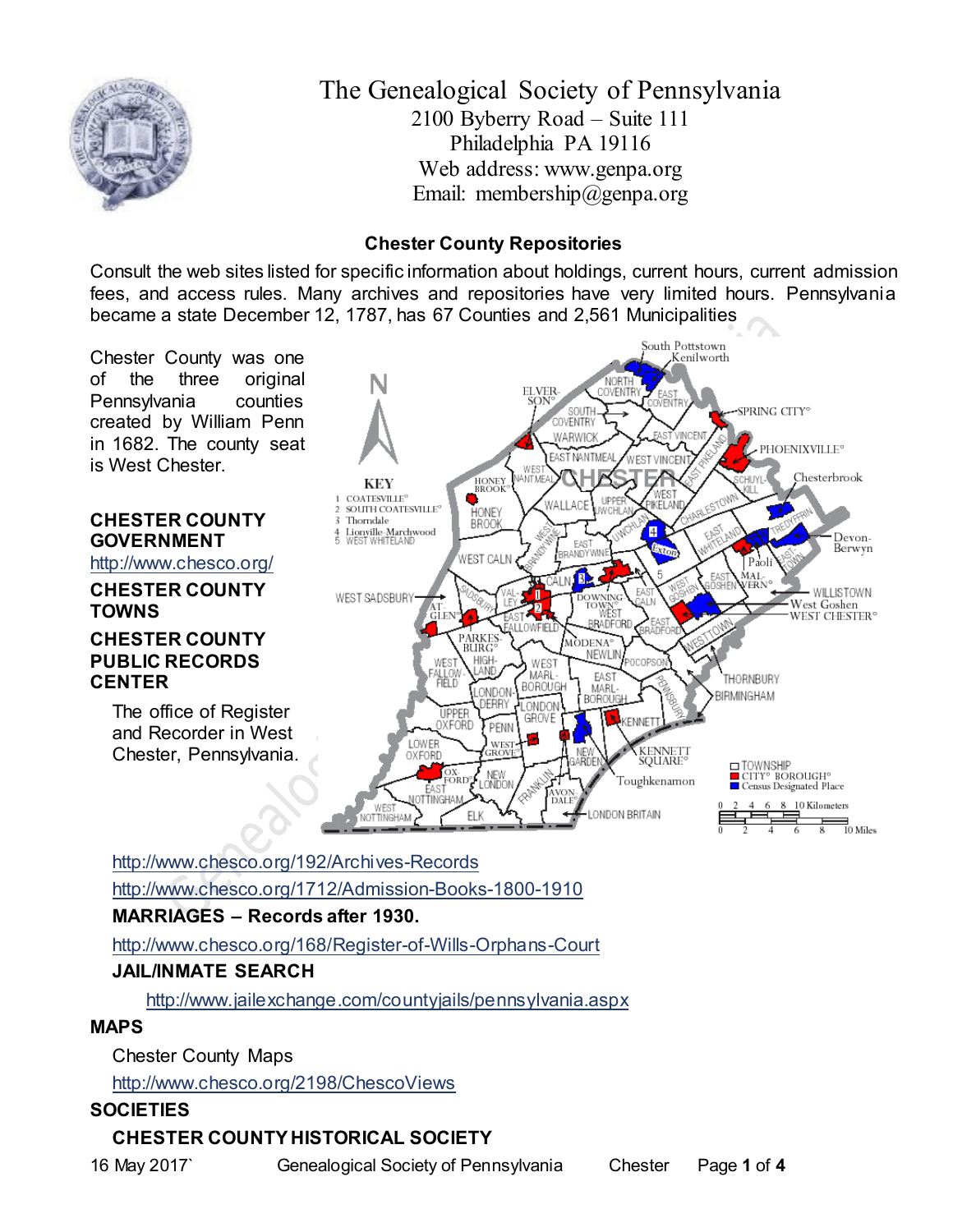

The Genealogical Society of Pennsylvania 2100 Byberry Road – Suite 111 Philadelphia PA 19116 Web address: www.genpa.org Email: membership@genpa.org

## **Chester County Repositories**

Consult the web sites listed for specific information about holdings, current hours, current admission fees, and access rules. Many archives and repositories have very limited hours. Pennsylvania became a state December 12, 1787, has 67 Counties and 2,561 Municipalities



<http://www.chesco.org/192/Archives-Records> <http://www.chesco.org/1712/Admission-Books-1800-1910>

## **MARRIAGES – Records after 1930.**

<http://www.chesco.org/168/Register-of-Wills-Orphans-Court>

## **JAIL/INMATE SEARCH**

<http://www.jailexchange.com/countyjails/pennsylvania.aspx>

### **MAPS**

Chester County Maps

<http://www.chesco.org/2198/ChescoViews>

## **SOCIETIES**

# **CHESTER COUNTY HISTORICAL SOCIETY**

16 May 2017` Genealogical Society of Pennsylvania Chester Page **1** of **4**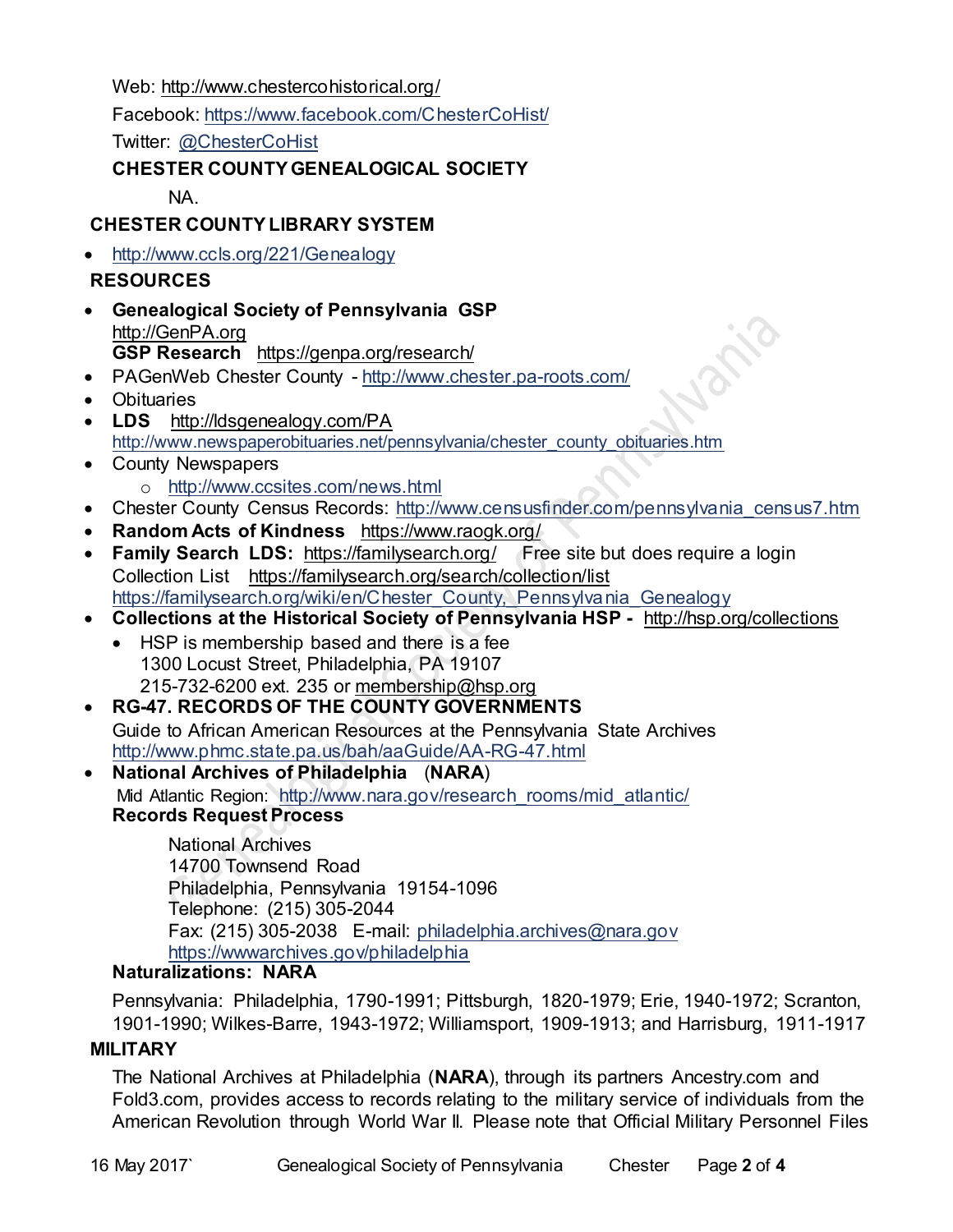Web: [http://www.chestercohistorical.org/](http://www.bradfordhistory.com/)

Facebook:<https://www.facebook.com/ChesterCoHist/>

Twitter: [@ChesterCoHist](https://twitter.com/ChesterCoHist)

## **CHESTER COUNTY GENEALOGICAL SOCIETY**

NA.

# **CHESTER COUNTY LIBRARY SYSTEM**

• <http://www.ccls.org/221/Genealogy>

## **RESOURCES**

- **Genealogical Society of Pennsylvania GSP** [http://GenPA.org](http://genpa.org/) **GSP Research** <https://genpa.org/research/>
- PAGenWeb Chester County <http://www.chester.pa-roots.com/>
- Obituaries
- **LDS** <http://ldsgenealogy.com/PA> [http://www.newspaperobituaries.net/pennsylvania/chester\\_county\\_obituaries.htm](http://www.newspaperobituaries.net/pennsylvania/chester_county_obituaries.htm)
- County Newspapers o <http://www.ccsites.com/news.html>
- Chester County Census Records: [http://www.censusfinder.com/pennsylvania\\_census7.htm](http://www.censusfinder.com/pennsylvania_census7.htm)

**Size** 

- **Random Acts of Kindness** <https://www.raogk.org/>
- **Family Search LDS:**<https://familysearch.org/>Free site but does require a login Collection List <https://familysearch.org/search/collection/list> [https://familysearch.org/wiki/en/Chester\\_County,\\_Pennsylvania\\_Genealogy](https://familysearch.org/wiki/en/Chester_County,_Pennsylvania_Genealogy)
- **Collections at the Historical Society of Pennsylvania HSP -** <http://hsp.org/collections>
	- HSP is membership based and there is a fee 1300 Locust Street, Philadelphia, PA 19107 215-732-6200 ext. 235 or [membership@hsp.org](mailto:membership@hsp.org)
- **RG-47. RECORDS OF THE COUNTY GOVERNMENTS** Guide to African American Resources at the Pennsylvania State Archives <http://www.phmc.state.pa.us/bah/aaGuide/AA-RG-47.html>
- **National Archives of Philadelphia** (**NARA**) Mid Atlantic Region: [http://www.nara.gov/research\\_rooms/mid\\_atlantic/](http://www.nara.gov/research_rooms/mid_atlantic/) **Records Request Process**

National Archives 14700 Townsend Road Philadelphia, Pennsylvania 19154-1096 Telephone: (215) 305-2044 Fax: (215) 305-2038 E-mail: [philadelphia.archives@nara.gov](mailto:philadelphia.archives@nara.gov) <https://wwwarchives.gov/philadelphia>

## **Naturalizations: NARA**

Pennsylvania: Philadelphia, 1790-1991; Pittsburgh, 1820-1979; Erie, 1940-1972; Scranton, 1901-1990; Wilkes-Barre, 1943-1972; Williamsport, 1909-1913; and Harrisburg, 1911-1917

## **MILITARY**

The National Archives at Philadelphia (**NARA**), through its partners Ancestry.com and Fold3.com, provides access to records relating to the military service of individuals from the American Revolution through World War II. Please note that Official Military Personnel Files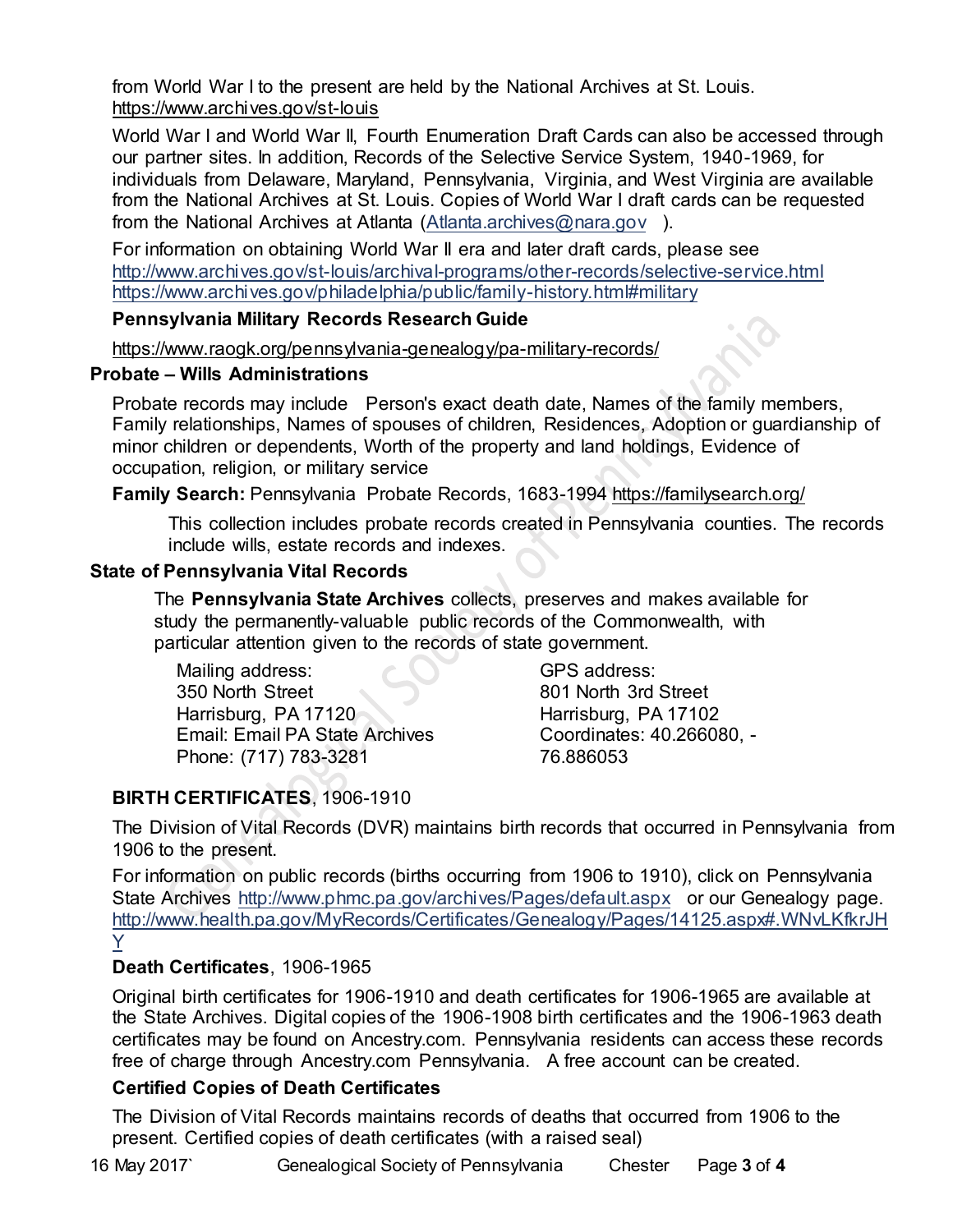from World War I to the present are held by the National Archives at St. Louis. <https://www.archives.gov/st-louis>

World War I and World War II, Fourth Enumeration Draft Cards can also be accessed through our partner sites. In addition, Records of the Selective Service System, 1940-1969, for individuals from Delaware, Maryland, Pennsylvania, Virginia, and West Virginia are available from the National Archives at St. Louis. Copies of World War I draft cards can be requested from the National Archives at Atlanta [\(Atlanta.archives@nara.gov](mailto:Atlanta.archives@nara.gov) ).

For information on obtaining World War II era and later draft cards, please see <http://www.archives.gov/st-louis/archival-programs/other-records/selective-service.html> <https://www.archives.gov/philadelphia/public/family-history.html#military>

### **Pennsylvania Military Records Research Guide**

<https://www.raogk.org/pennsylvania-genealogy/pa-military-records/>

### **Probate – Wills Administrations**

Probate records may include Person's exact death date, Names of the family members, Family relationships, Names of spouses of children, Residences, Adoption or guardianship of minor children or dependents, Worth of the property and land holdings, Evidence of occupation, religion, or military service

**Family Search:** Pennsylvania Probate Records, 1683-1994 <https://familysearch.org/>

This collection includes probate records created in Pennsylvania counties. The records include wills, estate records and indexes.

### **State of Pennsylvania Vital Records**

The **Pennsylvania State Archives** collects, preserves and makes available for study the permanently-valuable public records of the Commonwealth, with particular attention given to the records of state government.

Mailing address: 350 North Street Harrisburg, PA 17120 Email: Email PA State Archives Phone: (717) 783-3281

GPS address: 801 North 3rd Street Harrisburg, PA 17102 Coordinates: 40.266080, - 76.886053

## **BIRTH CERTIFICATES**, 1906-1910

The Division of Vital Records (DVR) maintains birth records that occurred in Pennsylvania from 1906 to the present.

For information on public records (births occurring from 1906 to 1910), click on Pennsylvania State Archives <http://www.phmc.pa.gov/archives/Pages/default.aspx>or our Genealogy page. [http://www.health.pa.gov/MyRecords/Certificates/Genealogy/Pages/14125.aspx#.WNvLKfkrJH](http://www.health.pa.gov/MyRecords/Certificates/Genealogy/Pages/14125.aspx#.WNvLKfkrJHY) [Y](http://www.health.pa.gov/MyRecords/Certificates/Genealogy/Pages/14125.aspx#.WNvLKfkrJHY)

## **Death Certificates**, 1906-1965

Original birth certificates for 1906-1910 and death certificates for 1906-1965 are available at the State Archives. Digital copies of the 1906-1908 birth certificates and the 1906-1963 death certificates may be found on Ancestry.com. Pennsylvania residents can access these records free of charge through Ancestry.com Pennsylvania. A free account can be created.

### **Certified Copies of Death Certificates**

The Division of Vital Records maintains records of deaths that occurred from 1906 to the present. Certified copies of death certificates (with a raised seal)